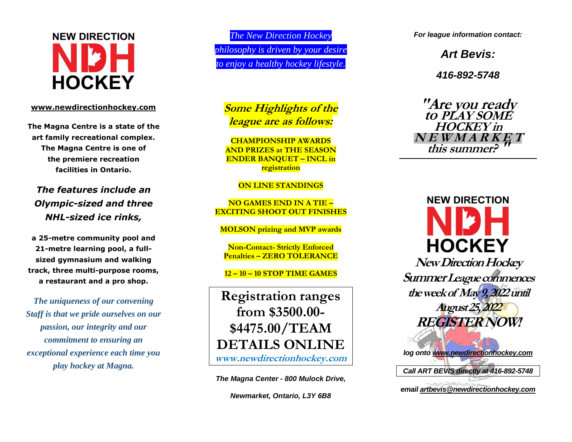# **NEW DIRECTION HOCKEY**

### **[www.newdirectionhockey.com](http://www.newdirectionhockey.com/)**

**The Magna Centre is a state of the art family recreational complex. The Magna Centre is one of the premiere recreation facilities in Ontario.** 

*The features include an Olympic -sized and three NH L -sized ice rinks,* 

**a 25 -metre community pool and 21 -metre learning pool, a full sized gymnasium and walking track, three multi -purpose rooms, a restaurant and a pro shop.**

*The uniqueness of our convening Staff is that we pride ourselves on our passion, our integrity and our commitment to ensuring an exceptional experience each time you play hockey at Magna.* 

*The New Direction Hockey philosophy is driven by your desire to enjoy a healthy hockey lifestyle.*

**Some Highlights of the league are as follows:**

**CHAMPIONSHIP AWARDS AND PRIZES at THE SEASON ENDER BANQUET – INCL in registration**

**ON LINE STANDINGS**

**NO GAMES END IN A TIE – EXCITING SHOOT OUT FINISHES**

**MOLSON prizing and MVP awards** 

**Non -Contact - Strictly Enforced Penalties – ZERO TOLERANCE**

**12 – 10 – 10 STOP TIME GAMES**

**Registration ranges from \$3500.00 - \$ 4 475.00/TEAM DETAILS ONLINE www.newdirectionhockey.com**

*The Magna Center - 800 Mulock Drive,*

*Newmarket, Ontario, L3Y 6B8*

*For league information contact:* 

*Art Bevis:* 

*416 -892 -5748*

**"Are you ready to PLAY SOME HOCKEY in N E W M A R K E Tthis summer? "**



**NewDirection Hockey Summer League commences the week of May 9, 2022until August 25,2022 REGISTER NOW!** *log ont[o www.newdirectionhockey.com](http://www.newdirectionhockey.com/)*

*Call ART BEVIS directly at 416-892 -5748*

*emai[l artbevis@newdirectionhockey.com](mailto:artbevis@newdirectionhockey.com)*